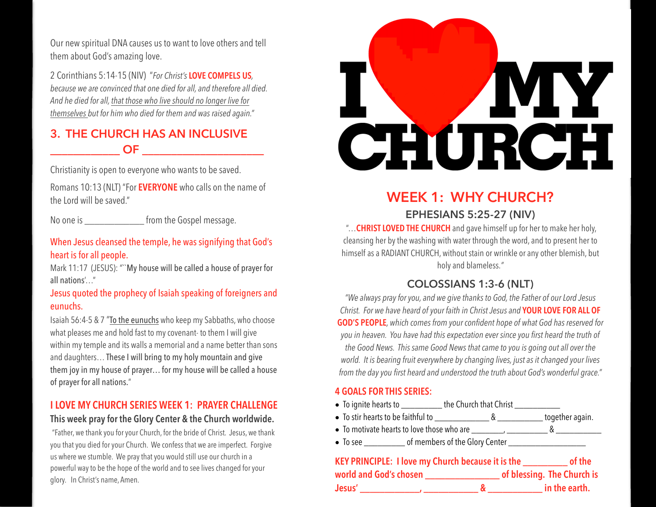Our new spiritual DNA causes us to want to love others and tell them about God's amazing love.

2 Corinthians 5:14-15 (NIV) "*For Christ's* **LOVE COMPELS US***, because we are convinced that one died for all, and therefore all died. And he died for all, that those who live should no longer live for themselves but for him who died for them and was raised again."*

## **3. THE CHURCH HAS AN INCLUSIVE \_\_\_\_\_\_\_\_\_\_\_\_ OF \_\_\_\_\_\_\_\_\_\_\_\_\_\_\_\_\_\_\_\_\_**

Christianity is open to everyone who wants to be saved.

Romans 10:13 (NLT) "For **EVERYONE** who calls on the name of the Lord will be saved."

No one is **Example 20** from the Gospel message.

#### When Jesus cleansed the temple, he was signifying that God's heart is for all people.

Mark 11:17 (JESUS): ""My house will be called a house of prayer for all nations'…"

#### Jesus quoted the prophecy of Isaiah speaking of foreigners and eunuchs.

Isaiah 56:4-5 & 7 "To the eunuchs who keep my Sabbaths, who choose what pleases me and hold fast to my covenant- to them I will give within my temple and its walls a memorial and a name better than sons and daughters… These I will bring to my holy mountain and give them joy in my house of prayer… for my house will be called a house of prayer for all nations."

## **I LOVE MY CHURCH SERIES WEEK 1: PRAYER CHALLENGE**

#### **This week pray for the Glory Center & the Church worldwide.**

"Father, we thank you for your Church, for the bride of Christ. Jesus, we thank you that you died for your Church. We confess that we are imperfect. Forgive us where we stumble. We pray that you would still use our church in a powerful way to be the hope of the world and to see lives changed for your glory. In Christ's name, Amen.



## **WEEK 1: WHY CHURCH?**

## **EPHESIANS 5:25-27 (NIV)**

 "…**CHRIST LOVED THE CHURCH** and gave himself up for her to make her holy, cleansing her by the washing with water through the word, and to present her to himself as a RADIANT CHURCH, without stain or wrinkle or any other blemish, but holy and blameless.*"*

## **COLOSSIANS 1:3-6 (NLT)**

*"We always pray for you, and we give thanks to God, the Father of our Lord Jesus Christ. For we have heard of your faith in Christ Jesus and* **YOUR LOVE FOR ALL OF GOD'S PEOPLE***, which comes from your confident hope of what God has reserved for you in heaven. You have had this expectation ever since you first heard the truth of the Good News. This same Good News that came to you is going out all over the world. It is bearing fruit everywhere by changing lives, just as it changed your lives from the day you first heard and understood the truth about God's wonderful grace."*

#### **4 GOALS FOR THIS SERIES:**

- To ignite hearts to the Church that Christ
- To stir hearts to be faithful to \_\_\_\_\_\_\_\_\_\_\_\_ & \_\_\_\_\_\_\_\_\_\_ together again.
- To motivate hearts to love those who are  $\frac{1}{1}$   $\frac{1}{1}$   $\frac{1}{1}$   $\frac{1}{1}$   $\frac{1}{1}$   $\frac{1}{1}$   $\frac{1}{1}$   $\frac{1}{1}$   $\frac{1}{1}$   $\frac{1}{1}$   $\frac{1}{1}$   $\frac{1}{1}$   $\frac{1}{1}$   $\frac{1}{1}$   $\frac{1}{1}$   $\frac{1}{1}$   $\frac{1}{1}$   $\frac{1}{1}$
- To see \_\_\_\_\_\_\_\_\_\_\_\_\_ of members of the Glory Center \_\_\_\_\_\_\_\_\_\_\_\_\_\_\_\_\_\_\_\_\_\_\_\_\_\_

|                        | KEY PRINCIPLE: I love my Church because it is the | of the                     |
|------------------------|---------------------------------------------------|----------------------------|
| world and God's chosen |                                                   | of blessing. The Church is |
| Jesus'                 |                                                   | in the earth.              |